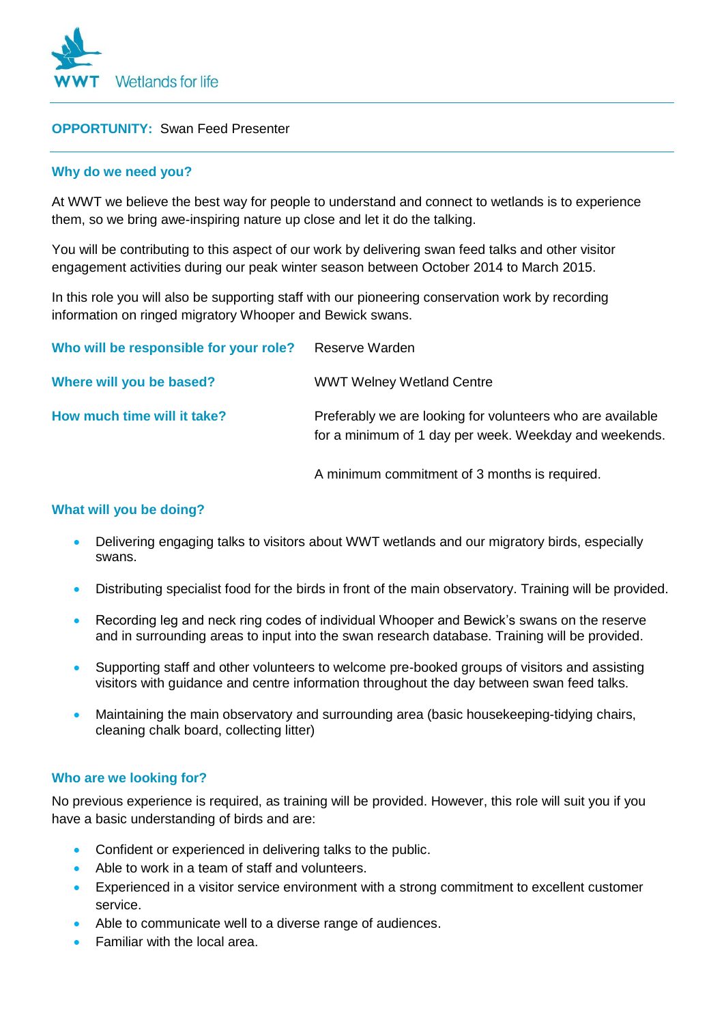

# **OPPORTUNITY:** Swan Feed Presenter

### **Why do we need you?**

At WWT we believe the best way for people to understand and connect to wetlands is to experience them, so we bring awe-inspiring nature up close and let it do the talking.

You will be contributing to this aspect of our work by delivering swan feed talks and other visitor engagement activities during our peak winter season between October 2014 to March 2015.

In this role you will also be supporting staff with our pioneering conservation work by recording information on ringed migratory Whooper and Bewick swans.

| Who will be responsible for your role? Reserve Warden |                                                                                                                      |
|-------------------------------------------------------|----------------------------------------------------------------------------------------------------------------------|
| Where will you be based?                              | <b>WWT Welney Wetland Centre</b>                                                                                     |
| How much time will it take?                           | Preferably we are looking for volunteers who are available<br>for a minimum of 1 day per week. Weekday and weekends. |

A minimum commitment of 3 months is required.

#### **What will you be doing?**

- Delivering engaging talks to visitors about WWT wetlands and our migratory birds, especially swans.
- Distributing specialist food for the birds in front of the main observatory. Training will be provided.
- Recording leg and neck ring codes of individual Whooper and Bewick's swans on the reserve and in surrounding areas to input into the swan research database. Training will be provided.
- Supporting staff and other volunteers to welcome pre-booked groups of visitors and assisting visitors with guidance and centre information throughout the day between swan feed talks.
- Maintaining the main observatory and surrounding area (basic housekeeping-tidying chairs, cleaning chalk board, collecting litter)

#### **Who are we looking for?**

No previous experience is required, as training will be provided. However, this role will suit you if you have a basic understanding of birds and are:

- Confident or experienced in delivering talks to the public.
- Able to work in a team of staff and volunteers.
- Experienced in a visitor service environment with a strong commitment to excellent customer service.
- Able to communicate well to a diverse range of audiences.
- Familiar with the local area.